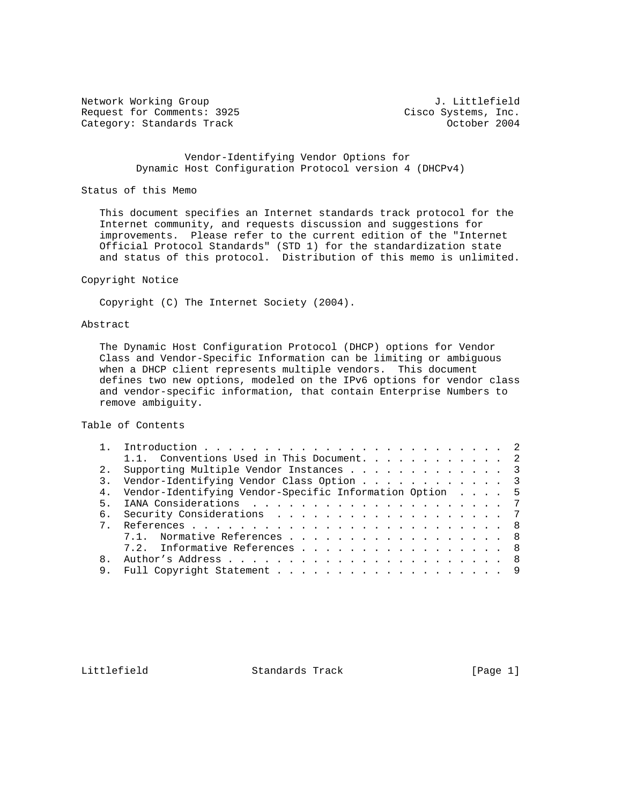Network Working Group and Month Communications of Methods J. Littlefield Request for Comments: 3925 Cisco Systems, Inc. Category: Standards Track Category: Standards Track Category: October 2004

 Vendor-Identifying Vendor Options for Dynamic Host Configuration Protocol version 4 (DHCPv4)

#### Status of this Memo

 This document specifies an Internet standards track protocol for the Internet community, and requests discussion and suggestions for improvements. Please refer to the current edition of the "Internet Official Protocol Standards" (STD 1) for the standardization state and status of this protocol. Distribution of this memo is unlimited.

### Copyright Notice

Copyright (C) The Internet Society (2004).

### Abstract

 The Dynamic Host Configuration Protocol (DHCP) options for Vendor Class and Vendor-Specific Information can be limiting or ambiguous when a DHCP client represents multiple vendors. This document defines two new options, modeled on the IPv6 options for vendor class and vendor-specific information, that contain Enterprise Numbers to remove ambiguity.

Table of Contents

| 1.1. Conventions Used in This Document. 2                  |  |
|------------------------------------------------------------|--|
| Supporting Multiple Vendor Instances 3                     |  |
| Vendor-Identifying Vendor Class Option 3                   |  |
| 4. Vendor-Identifying Vendor-Specific Information Option 5 |  |
|                                                            |  |
| Security Considerations 7<br>б.                            |  |
|                                                            |  |
| 7.1. Normative References 8                                |  |
| 7.2. Informative References 8                              |  |
|                                                            |  |
|                                                            |  |
|                                                            |  |

Littlefield Standards Track [Page 1]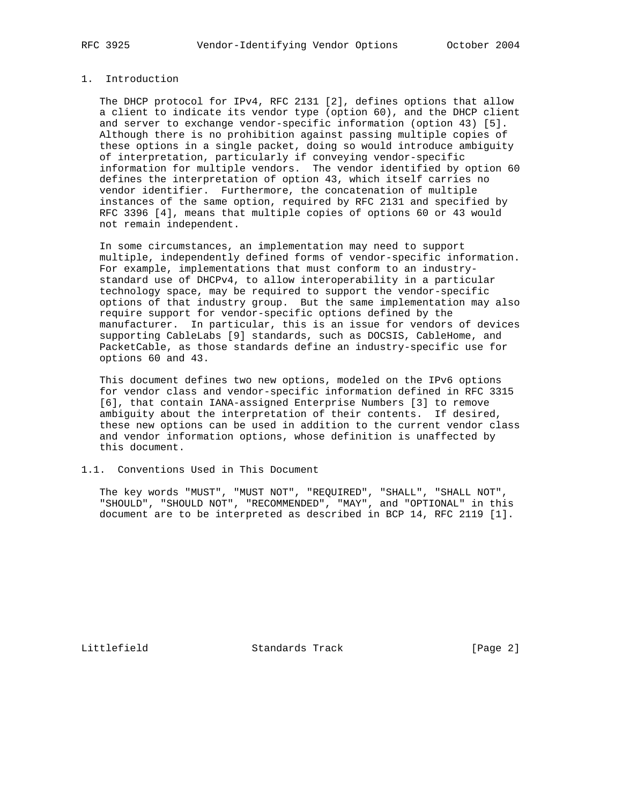# 1. Introduction

 The DHCP protocol for IPv4, RFC 2131 [2], defines options that allow a client to indicate its vendor type (option 60), and the DHCP client and server to exchange vendor-specific information (option 43) [5]. Although there is no prohibition against passing multiple copies of these options in a single packet, doing so would introduce ambiguity of interpretation, particularly if conveying vendor-specific information for multiple vendors. The vendor identified by option 60 defines the interpretation of option 43, which itself carries no vendor identifier. Furthermore, the concatenation of multiple instances of the same option, required by RFC 2131 and specified by RFC 3396 [4], means that multiple copies of options 60 or 43 would not remain independent.

 In some circumstances, an implementation may need to support multiple, independently defined forms of vendor-specific information. For example, implementations that must conform to an industry standard use of DHCPv4, to allow interoperability in a particular technology space, may be required to support the vendor-specific options of that industry group. But the same implementation may also require support for vendor-specific options defined by the manufacturer. In particular, this is an issue for vendors of devices supporting CableLabs [9] standards, such as DOCSIS, CableHome, and PacketCable, as those standards define an industry-specific use for options 60 and 43.

 This document defines two new options, modeled on the IPv6 options for vendor class and vendor-specific information defined in RFC 3315 [6], that contain IANA-assigned Enterprise Numbers [3] to remove ambiguity about the interpretation of their contents. If desired, these new options can be used in addition to the current vendor class and vendor information options, whose definition is unaffected by this document.

#### 1.1. Conventions Used in This Document

 The key words "MUST", "MUST NOT", "REQUIRED", "SHALL", "SHALL NOT", "SHOULD", "SHOULD NOT", "RECOMMENDED", "MAY", and "OPTIONAL" in this document are to be interpreted as described in BCP 14, RFC 2119 [1].

Littlefield Standards Track [Page 2]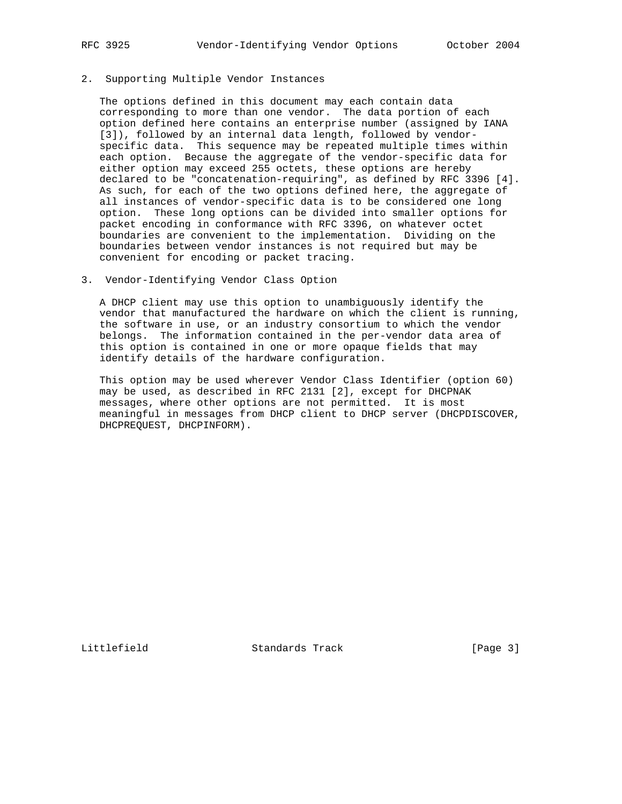# 2. Supporting Multiple Vendor Instances

 The options defined in this document may each contain data corresponding to more than one vendor. The data portion of each option defined here contains an enterprise number (assigned by IANA [3]), followed by an internal data length, followed by vendor specific data. This sequence may be repeated multiple times within each option. Because the aggregate of the vendor-specific data for either option may exceed 255 octets, these options are hereby declared to be "concatenation-requiring", as defined by RFC 3396 [4]. As such, for each of the two options defined here, the aggregate of all instances of vendor-specific data is to be considered one long option. These long options can be divided into smaller options for packet encoding in conformance with RFC 3396, on whatever octet boundaries are convenient to the implementation. Dividing on the boundaries between vendor instances is not required but may be convenient for encoding or packet tracing.

### 3. Vendor-Identifying Vendor Class Option

 A DHCP client may use this option to unambiguously identify the vendor that manufactured the hardware on which the client is running, the software in use, or an industry consortium to which the vendor belongs. The information contained in the per-vendor data area of this option is contained in one or more opaque fields that may identify details of the hardware configuration.

 This option may be used wherever Vendor Class Identifier (option 60) may be used, as described in RFC 2131 [2], except for DHCPNAK messages, where other options are not permitted. It is most meaningful in messages from DHCP client to DHCP server (DHCPDISCOVER, DHCPREQUEST, DHCPINFORM).

Littlefield Standards Track [Page 3]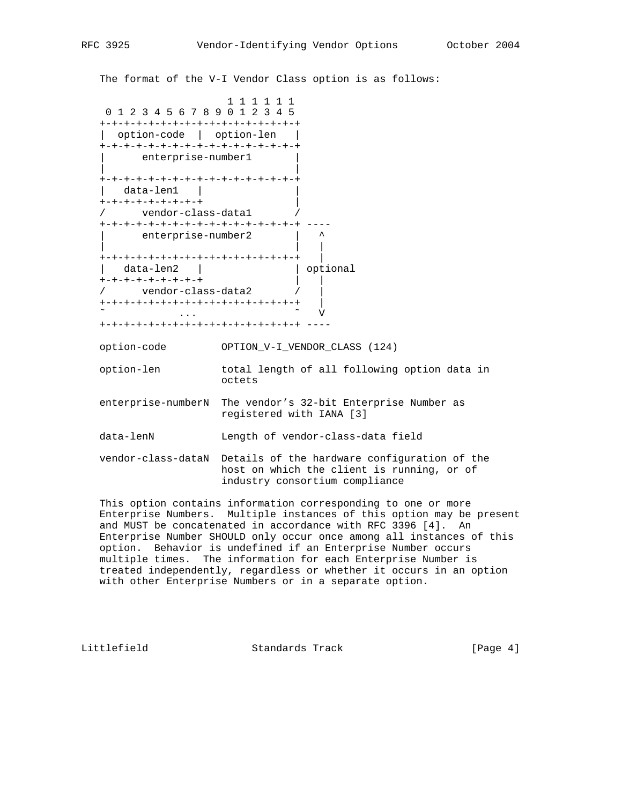The format of the V-I Vendor Class option is as follows:

 1 1 1 1 1 1 0 1 2 3 4 5 6 7 8 9 0 1 2 3 4 5 +-+-+-+-+-+-+-+-+-+-+-+-+-+-+-+-+ | option-code | option-len | +-+-+-+-+-+-+-+-+-+-+-+-+-+-+-+-+ enterprise-number1 | | +-+-+-+-+-+-+-+-+-+-+-+-+-+-+-+-+ | data-len1 | | +-+-+-+-+-+-+-+-+ | / vendor-class-data1 / +-+-+-+-+-+-+-+-+-+-+-+-+-+-+-+-+ --- enterprise-number2 | | | | +-+-+-+-+-+-+-+-+-+-+-+-+-+-+-+-+ | | data-len2 | | optional +-+-+-+-+-+-+-+-+ | | / vendor-class-data2 / | +-+-+-+-+-+-+-+-+-+-+-+-+-+-+-+-+ |  $\sim$   $\sim$   $\sim$  V +-+-+-+-+-+-+-+-+-+-+-+-+-+-+-+-+ --- option-code OPTION\_V-I\_VENDOR\_CLASS (124) option-len total length of all following option data in octets enterprise-numberN The vendor's 32-bit Enterprise Number as registered with IANA [3] data-lenN Length of vendor-class-data field vendor-class-dataN Details of the hardware configuration of the host on which the client is running, or of industry consortium compliance

 This option contains information corresponding to one or more Enterprise Numbers. Multiple instances of this option may be present and MUST be concatenated in accordance with RFC 3396 [4]. An Enterprise Number SHOULD only occur once among all instances of this option. Behavior is undefined if an Enterprise Number occurs multiple times. The information for each Enterprise Number is treated independently, regardless or whether it occurs in an option with other Enterprise Numbers or in a separate option.

Littlefield Standards Track [Page 4]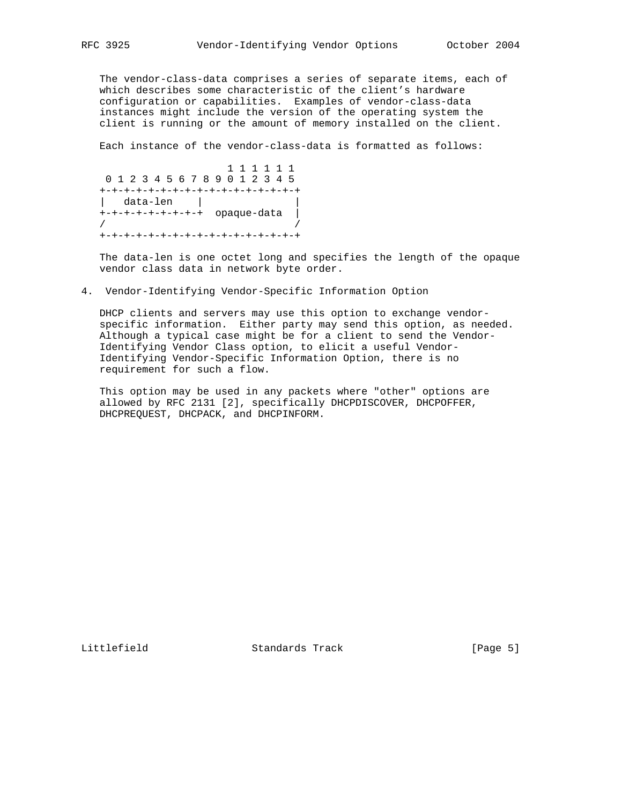The vendor-class-data comprises a series of separate items, each of which describes some characteristic of the client's hardware configuration or capabilities. Examples of vendor-class-data instances might include the version of the operating system the client is running or the amount of memory installed on the client.

Each instance of the vendor-class-data is formatted as follows:

 1 1 1 1 1 1 0 1 2 3 4 5 6 7 8 9 0 1 2 3 4 5 +-+-+-+-+-+-+-+-+-+-+-+-+-+-+-+-+ | data-len | | +-+-+-+-+-+-+-+-+ opaque-data | / / +-+-+-+-+-+-+-+-+-+-+-+-+-+-+-+-+

 The data-len is one octet long and specifies the length of the opaque vendor class data in network byte order.

4. Vendor-Identifying Vendor-Specific Information Option

 DHCP clients and servers may use this option to exchange vendor specific information. Either party may send this option, as needed. Although a typical case might be for a client to send the Vendor- Identifying Vendor Class option, to elicit a useful Vendor- Identifying Vendor-Specific Information Option, there is no requirement for such a flow.

 This option may be used in any packets where "other" options are allowed by RFC 2131 [2], specifically DHCPDISCOVER, DHCPOFFER, DHCPREQUEST, DHCPACK, and DHCPINFORM.

Littlefield Standards Track [Page 5]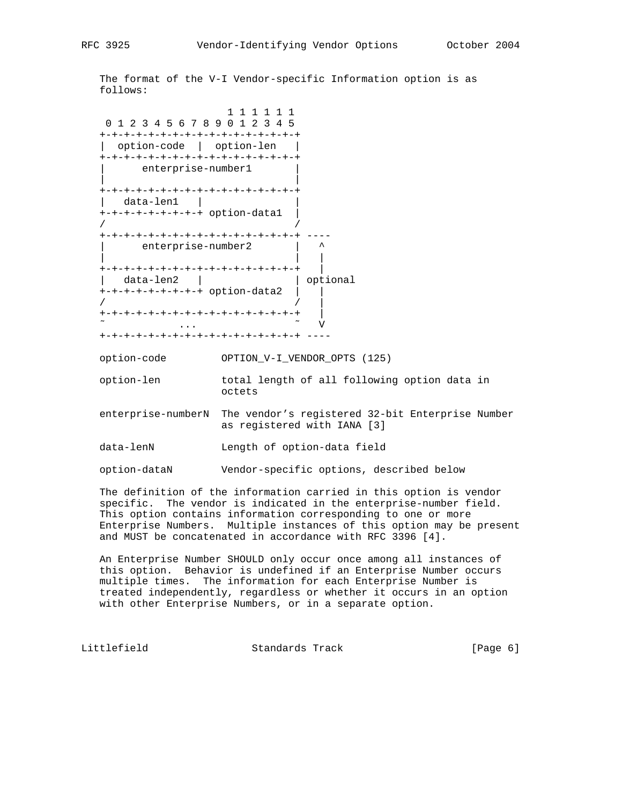The format of the V-I Vendor-specific Information option is as follows:

 1 1 1 1 1 1 0 1 2 3 4 5 6 7 8 9 0 1 2 3 4 5 +-+-+-+-+-+-+-+-+-+-+-+-+-+-+-+-+ | option-code | option-len | +-+-+-+-+-+-+-+-+-+-+-+-+-+-+-+-+ enterprise-number1 | | +-+-+-+-+-+-+-+-+-+-+-+-+-+-+-+-+ | data-len1 | | +-+-+-+-+-+-+-+-+ option-data1 | / / +-+-+-+-+-+-+-+-+-+-+-+-+-+-+-+-+ --- enterprise-number2 | | | | +-+-+-+-+-+-+-+-+-+-+-+-+-+-+-+-+ | | data-len2 | | | optional  $+$ -+-+-+-+-+-+-+-+ option-data2 | | / / | +-+-+-+-+-+-+-+-+-+-+-+-+-+-+-+-+ |  $\sim$   $\sim$   $\sim$  V +-+-+-+-+-+-+-+-+-+-+-+-+-+-+-+-+ --- option-code OPTION\_V-I\_VENDOR\_OPTS (125) option-len total length of all following option data in octets enterprise-numberN The vendor's registered 32-bit Enterprise Number as registered with IANA [3] data-lenN Length of option-data field option-dataN Vendor-specific options, described below

 The definition of the information carried in this option is vendor specific. The vendor is indicated in the enterprise-number field. This option contains information corresponding to one or more Enterprise Numbers. Multiple instances of this option may be present and MUST be concatenated in accordance with RFC 3396 [4].

 An Enterprise Number SHOULD only occur once among all instances of this option. Behavior is undefined if an Enterprise Number occurs multiple times. The information for each Enterprise Number is treated independently, regardless or whether it occurs in an option with other Enterprise Numbers, or in a separate option.

Littlefield Standards Track [Page 6]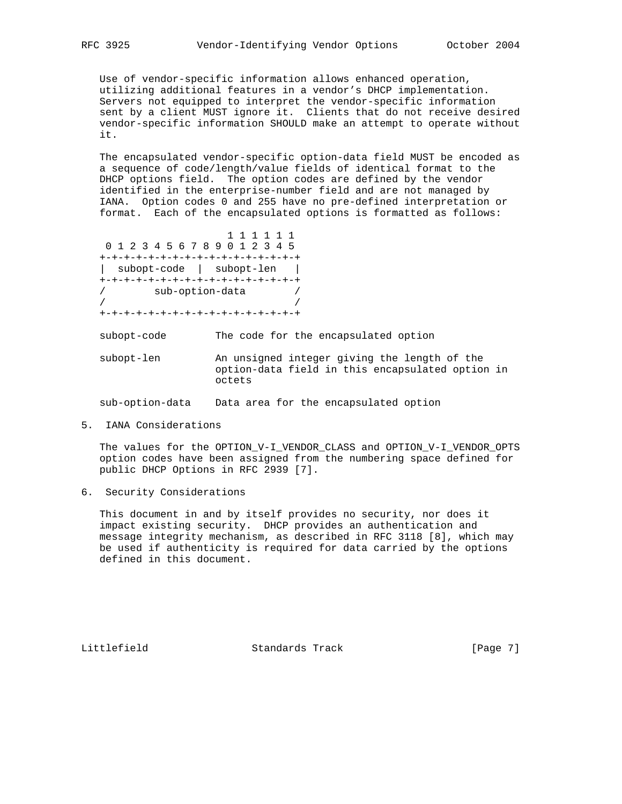Use of vendor-specific information allows enhanced operation, utilizing additional features in a vendor's DHCP implementation. Servers not equipped to interpret the vendor-specific information sent by a client MUST ignore it. Clients that do not receive desired vendor-specific information SHOULD make an attempt to operate without it.

 The encapsulated vendor-specific option-data field MUST be encoded as a sequence of code/length/value fields of identical format to the DHCP options field. The option codes are defined by the vendor identified in the enterprise-number field and are not managed by IANA. Option codes 0 and 255 have no pre-defined interpretation or format. Each of the encapsulated options is formatted as follows:

 1 1 1 1 1 1 0 1 2 3 4 5 6 7 8 9 0 1 2 3 4 5 +-+-+-+-+-+-+-+-+-+-+-+-+-+-+-+-+ | subopt-code | subopt-len | +-+-+-+-+-+-+-+-+-+-+-+-+-+-+-+-+ / sub-option-data / / / +-+-+-+-+-+-+-+-+-+-+-+-+-+-+-+-+

subopt-code The code for the encapsulated option

 subopt-len An unsigned integer giving the length of the option-data field in this encapsulated option in octets

sub-option-data Data area for the encapsulated option

5. IANA Considerations

 The values for the OPTION\_V-I\_VENDOR\_CLASS and OPTION\_V-I\_VENDOR\_OPTS option codes have been assigned from the numbering space defined for public DHCP Options in RFC 2939 [7].

6. Security Considerations

 This document in and by itself provides no security, nor does it impact existing security. DHCP provides an authentication and message integrity mechanism, as described in RFC 3118 [8], which may be used if authenticity is required for data carried by the options defined in this document.

Littlefield Standards Track [Page 7]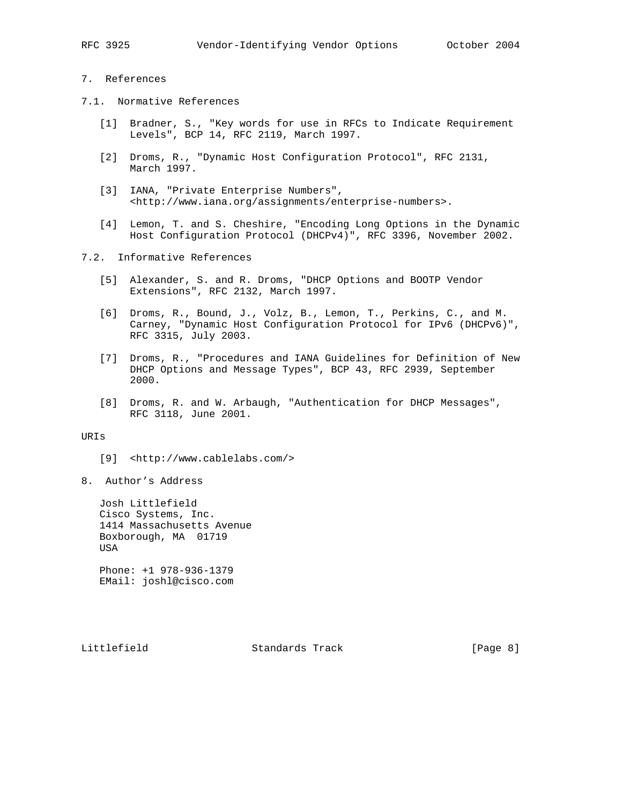### 7. References

- 7.1. Normative References
	- [1] Bradner, S., "Key words for use in RFCs to Indicate Requirement Levels", BCP 14, RFC 2119, March 1997.
	- [2] Droms, R., "Dynamic Host Configuration Protocol", RFC 2131, March 1997.
	- [3] IANA, "Private Enterprise Numbers", <http://www.iana.org/assignments/enterprise-numbers>.
	- [4] Lemon, T. and S. Cheshire, "Encoding Long Options in the Dynamic Host Configuration Protocol (DHCPv4)", RFC 3396, November 2002.
- 7.2. Informative References
	- [5] Alexander, S. and R. Droms, "DHCP Options and BOOTP Vendor Extensions", RFC 2132, March 1997.
	- [6] Droms, R., Bound, J., Volz, B., Lemon, T., Perkins, C., and M. Carney, "Dynamic Host Configuration Protocol for IPv6 (DHCPv6)", RFC 3315, July 2003.
	- [7] Droms, R., "Procedures and IANA Guidelines for Definition of New DHCP Options and Message Types", BCP 43, RFC 2939, September 2000.
	- [8] Droms, R. and W. Arbaugh, "Authentication for DHCP Messages", RFC 3118, June 2001.

## URIs

- [9] <http://www.cablelabs.com/>
- 8. Author's Address

 Josh Littlefield Cisco Systems, Inc. 1414 Massachusetts Avenue Boxborough, MA 01719 USA

 Phone: +1 978-936-1379 EMail: joshl@cisco.com

Littlefield **Standards Track** [Page 8]